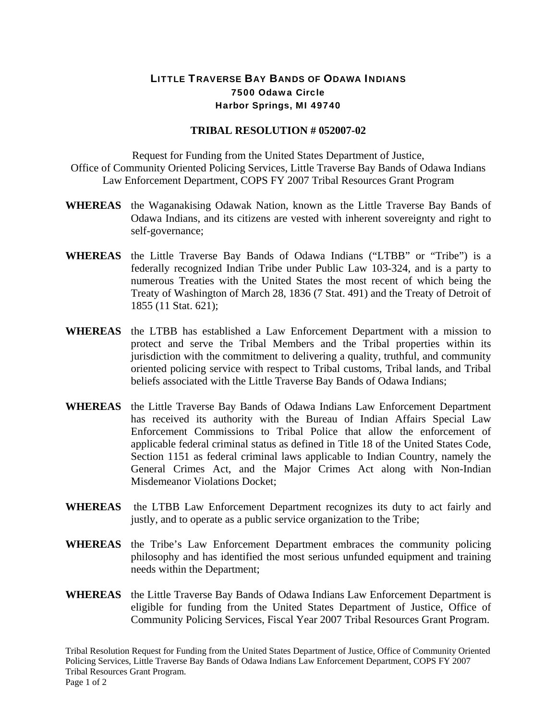## LITTLE TRAVERSE BAY BANDS OF ODAWA INDIANS 7500 Odawa Circle Harbor Springs, MI 49740

## **TRIBAL RESOLUTION # 052007-02**

Request for Funding from the United States Department of Justice, Office of Community Oriented Policing Services, Little Traverse Bay Bands of Odawa Indians Law Enforcement Department, COPS FY 2007 Tribal Resources Grant Program

- **WHEREAS** the Waganakising Odawak Nation, known as the Little Traverse Bay Bands of Odawa Indians, and its citizens are vested with inherent sovereignty and right to self-governance;
- **WHEREAS** the Little Traverse Bay Bands of Odawa Indians ("LTBB" or "Tribe") is a federally recognized Indian Tribe under Public Law 103-324, and is a party to numerous Treaties with the United States the most recent of which being the Treaty of Washington of March 28, 1836 (7 Stat. 491) and the Treaty of Detroit of 1855 (11 Stat. 621);
- **WHEREAS** the LTBB has established a Law Enforcement Department with a mission to protect and serve the Tribal Members and the Tribal properties within its jurisdiction with the commitment to delivering a quality, truthful, and community oriented policing service with respect to Tribal customs, Tribal lands, and Tribal beliefs associated with the Little Traverse Bay Bands of Odawa Indians;
- **WHEREAS** the Little Traverse Bay Bands of Odawa Indians Law Enforcement Department has received its authority with the Bureau of Indian Affairs Special Law Enforcement Commissions to Tribal Police that allow the enforcement of applicable federal criminal status as defined in Title 18 of the United States Code, Section 1151 as federal criminal laws applicable to Indian Country, namely the General Crimes Act, and the Major Crimes Act along with Non-Indian Misdemeanor Violations Docket;
- **WHEREAS** the LTBB Law Enforcement Department recognizes its duty to act fairly and justly, and to operate as a public service organization to the Tribe;
- **WHEREAS** the Tribe's Law Enforcement Department embraces the community policing philosophy and has identified the most serious unfunded equipment and training needs within the Department;
- **WHEREAS** the Little Traverse Bay Bands of Odawa Indians Law Enforcement Department is eligible for funding from the United States Department of Justice, Office of Community Policing Services, Fiscal Year 2007 Tribal Resources Grant Program.

Tribal Resolution Request for Funding from the United States Department of Justice, Office of Community Oriented Policing Services, Little Traverse Bay Bands of Odawa Indians Law Enforcement Department, COPS FY 2007 Tribal Resources Grant Program. Page 1 of 2